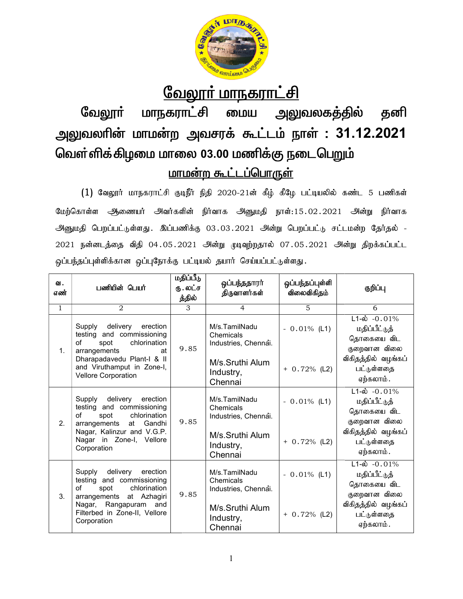

<u> வேலூா் மாநகராட்சி</u><br>மாநகராட்சி மைய அலுவலகத்தில் தனி வேலூா் மாநகராட்சி மைய அலுவலகத்தில் அலுவலரின் மாமன்ற அவசரக் கூட்டம் நாள் : 31.12.2021 வெள்ளிக்கிழமை மாலை 03.00 மணிக்கு நடைபெறும் <u>மாமன்ற கூட்டப்பொருள்</u>

- மாமன்ற கூட்டப்பொருள்<br>(1) வேலூர் மாநகராட்சி குடிநீர் நிதி 2020-21ன் கீழ் கீழே பட்டியலில் கண்ட 5 பணிகள் மேற்கொள்ள ஆணையர் அவர்களின் நிர்வாக அனுமதி நாள்:15.02.2021 அன்று நிர்வாக அனுமதி பெறப்பட்டுள்ளது .இப்பணிக்கு 03.03.2021 அன்று பெறப்பட்டு சட்டமன்ற தேர்தல் -2021 நன்னடத்தை விதி 04.05.2021 அன்று முடிவுற்றதால் 07.05.2021 அன்று திறக்கப்பட்ட<br>ஒப்பந்தப்புள்ளிக்கான ஒப்புநோக்கு பட்டியல் தயார் செய்யப்பட்டுள்ளது. ஒப்பந்தப்புள்ளிக்கான ஒப்புநோக்கு பட்டியல் தயார் செய்யப்பட்டுள்ளது. டையா அவர்களின் நாவாக அனுமதி நாள்:15.02.2021 அன்று நாவாக<br>ள்ளது. இப்பணிக்கு 03.03.2021 அன்று பெறப்பட்டு சட்டமன்ற தேர்தல் -<br>விதி 04.05.2021 அன்று முடிவுற்றதால் 07.05.2021 அன்று திறக்கப்பட்ட<br>1 ஒப்புநோக்கு பட்டியல் தயார் செய்ய

| ഖ.<br>எண்      | பணியின் பெயர்                                                                                                          | மதிப்பீடு<br>ரு. லட்ச<br>த்தில் | ஒப்பந்ததாரா்<br>திருவாளர்கள்                       | ஒப்பந்தப்புள்ளி<br>விலைவிகிதம் | குறிப்பு                                                                    |
|----------------|------------------------------------------------------------------------------------------------------------------------|---------------------------------|----------------------------------------------------|--------------------------------|-----------------------------------------------------------------------------|
| 1              | 2                                                                                                                      | 3                               | $\overline{4}$                                     | 5                              | 6                                                                           |
| 1 <sub>1</sub> | delivery erection<br>Supply<br>testing and commissioning<br>of<br>chlorination<br>spot<br>arrangements<br>at           | 9.85                            | M/s.TamilNadu<br>Chemicals<br>Industries, Chennai. | $-0.01\%$ (L1)                 | $L1-\dot{\omega} - 0.01\%$<br>மதிப்பீட்டுத்<br>தொகையை விட<br>குறைவான விலை   |
|                | Dharapadavedu Plant-I & II<br>and Viruthamput in Zone-I,<br>Vellore Corporation                                        |                                 | M/s.Sruthi Alum<br>Industry,<br>Chennai            | $+ 0.72%$ (L2)                 | விகிதத்தில் வழங்கப்<br>பட்டுள்ளதை<br>ஏற்கலாம்.                              |
| 2 <sub>1</sub> | delivery<br>Supply<br>erection<br>testing and commissioning<br>chlorination<br>οf<br>spot<br>arrangements<br>at Gandhi | 9.85                            | M/s.TamilNadu<br>Chemicals<br>Industries, Chennai. | $-0.01\%$ (L1)                 | $L1 - \dot{\omega} - 0.01\%$<br>மதிப்பீட்டுத்<br>தொகையை விட<br>குறைவான விலை |
|                | Nagar, Kalinzur and V.G.P.<br>Nagar in Zone-I, Vellore<br>Corporation                                                  |                                 | M/s.Sruthi Alum<br>Industry,<br>Chennai            | $+ 0.72\%$ (L2)                | விகிதத்தில் வழங்கப்<br>பட்டுள்ளதை<br>ஏற்கலாம் .                             |
| 3.             | delivery erection<br>Supply<br>testing and commissioning<br>chlorination<br>of<br>spot<br>arrangements<br>at Azhagiri  | 9.85                            | M/s.TamilNadu<br>Chemicals<br>Industries, Chennai. | $-0.01\%$ (L1)                 | $L1-\dot{\omega}$ -0.01%<br>மதிப்பீட்டுத்<br>தொகையை விட<br>குறைவான விலை     |
|                | Nagar, Rangapuram and<br>Filterbed in Zone-II, Vellore<br>Corporation                                                  |                                 | M/s.Sruthi Alum<br>Industry,<br>Chennai            | $+ 0.72%$ (L2)                 | விகிதத்தில் வழங்கப்<br>பட்டுள்ளதை<br>ஏற்கலாம்.                              |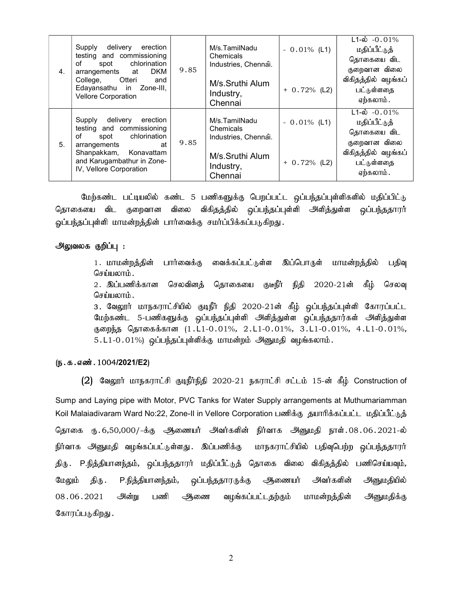| 4. | Supply<br>delivery erection<br>testing and commissioning<br>chlorination<br>of<br>spot<br><b>DKM</b><br>arrangements<br>at<br>Otteri<br>College,<br>and<br>Edayansathu in Zone-III,<br><b>Vellore Corporation</b> | 9.85 | M/s.TamilNadu<br>Chemicals<br>Industries, Chennai.<br>M/s.Sruthi Alum<br>Industry,<br>Chennai | $-0.01\%$ (L1)<br>$+ 0.72\%$ (L2) | $L1 - \phi$ -0.01%<br>மதிப்பீட்டுத்<br>தொகையை விட<br>குறைவான விலை<br>விகிதத்தில் வழங்கப்<br>பட்டுள்ளதை<br>ஏற்கலாம்.       |
|----|-------------------------------------------------------------------------------------------------------------------------------------------------------------------------------------------------------------------|------|-----------------------------------------------------------------------------------------------|-----------------------------------|---------------------------------------------------------------------------------------------------------------------------|
| 5. | Supply<br>delivery<br>erection<br>testing and commissioning<br>chlorination<br>of<br>spot<br>arrangements<br>at<br>Shanpakkam, Konavattam<br>and Karugambathur in Zone-<br>IV, Vellore Corporation                | 9.85 | M/s.TamilNadu<br>Chemicals<br>Industries, Chennai.<br>M/s.Sruthi Alum<br>Industry,<br>Chennai | $-0.01\%$ (L1)<br>$+ 0.72%$ (L2)  | $\overline{L1-6}$ -0.01%<br>மதிப்பீட்டுத்<br>தொகையை விட<br>குறைவான விலை<br>விகிதத்தில் வழங்கப்<br>பட்டுள்ளதை<br>ஏற்கலாம். |

மேற்கண்ட பட்டியலில் கண்ட 5 பணிகளுக்கு பெறப்பட்ட ஒப்பந்தப்புள்ளிகளில் மதிப்பிட்டு தொகையை விட குறைவான விலை விகிதத்தில் ஒப்பந்தப்புள்ளி அளித்துள்ள ஒப்பந்ததாரர் ஓப்பந்தப்புள்ளி மாமன்றத்தின் பார்வைக்கு சமர்ப்பிக்கப்படுகிறது.

#### அலுவலக குறிப்பு :

1. மாமன்றத்தின் பார்வைக்கு வைக்கப்பட்டுள்ள இப்பொருள் மாமன்றத்தில் பதிவு செய்யலாம்.

2. இப்பணிக்கான செலவினக் கொகையை குடீநீர் நிதி 2020-21ன் கீம் செலவு செய்யலாம்.

3. வேலூர் மாநகராட்சியில் குடிநீர் நிதி 2020-21ன் கீழ் ஒப்பந்தப்புள்ளி கோரப்பட்ட மேற்கண்ட 5-பணிகளுக்கு ஒப்பந்தப்புள்ளி அளித்துள்ள ஒப்பந்ததார்கள் அளித்துள்ள குறைந்த தொகைக்கான (1.L1-0.01%, 2.L1-0.01%, 3.L1-0.01%, 4.L1-0.01%, 5.L1-0.01%) ஒப்பந்தப்புள்ளிக்கு மாமன்றம் அனுமதி வழங்கலாம்.

#### $(D.5.5.5\text{...})$  . 1004/2021/E2)

 $(2)$  வேலூர் மாநகராட்சி குடிநீர்நிதி 2020-21 நகராட்சி சட்டம் 15-ன் கீழ் Construction of Sump and Laying pipe with Motor, PVC Tanks for Water Supply arrangements at Muthumariamman Koil Malaiadivaram Ward No:22, Zone-II in Vellore Corporation பணிக்கு தயாரிக்கப்பட்ட மதிப்பீட்டுத் தொகை ரு.6,50,000/-க்கு ஆணையர் அவர்களின் நிர்வாக அனுமதி நாள்.08.06.2021-ல் நிர்வாக அனுமதி வழங்கப்பட்டுள்ளது .இப்பணிக்கு மாநகராட்சியில் பதிவுபெற்ற ஒப்பந்ததாரர் திரு .P.நித்தியானந்தம், ஒப்பந்ததாரர் மதிப்பீட்டுத் தொகை விலை விகிதத்தில் பணிசெய்யவும், மேலும் திரு .P.நித்தியானந்தம், ஒப்பந்ததாரருக்கு ஆணையர் அவர்களின் அனுமதியில் 08.06.2021 அன்று பணி ஆணை வழங்கப்பட்டதற்கும் மாமன்றத்தின் அனுமதிக்கு கோரப்படுகிறது .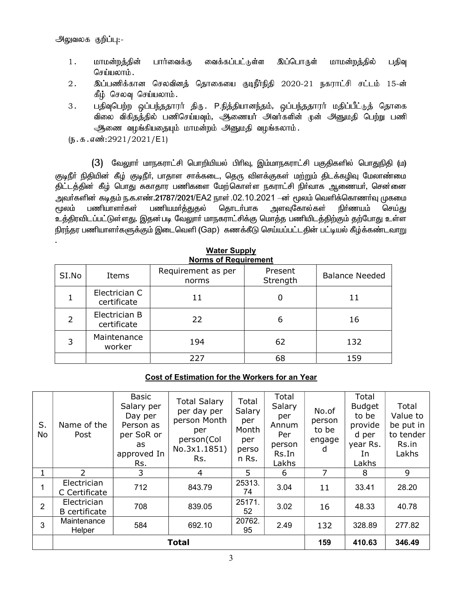.

- 1. மாமன்றத்தின் பார்வைக்கு வைக்கப்பட்டுள்ள இப்பொருள் மாமன்றத்தில் பதிவு செய்யலாம்.
- 2. இப்பணிக்கான செலவினத் தொகையை குடிநீர்நிதி 2020-21 நகராட்சி சட்டம் 15-ன் கீழ் செலவு செய்யலாம்.
- 3. பதிவுபெற்ற ஒப்பந்ததாரா் திரு. P.நித்தியானந்தம், ஒப்பந்ததாரா் மதிப்பீட்டுத் தொகை விலை விகிதத்தில் பணிசெய்யவும், அூணையர் அவர்களின் முன் அனுமதி பெற்று பணி ஆணை வழங்கியதையும் மாமன்றம் அனுமதி வழங்கலாம்.
- $($ Б.  $\sigma$ .  $\sigma$ .  $\sigma$ з  $\sigma$ :  $2921/2021$ /E1)

 $(3)$  வேலுார் மாநகராட்சி பொறியியல் பிரிவு, இம்மாநகராட்சி பகுதிகளில் பொதுநிதி (ம) குடிநீா் நிதியின் கீழ் குடிநீா், பாதாள சாக்கடை, தெரு விளக்குகள் மற்றும் திடக்கழிவு மேலாண்மை திட்டத்தின் கீழ் பொது சுகாதார பணிகளை மேற்கொள்ள நகராட்சி நிா்வாக ஆணையா், சென்னை அவர்களின் கடிதம் ந.க.எண்.21787/2021/EA2 நாள் .02.10.2021 –ன் மூலம் வெளிக்கொணர்வு முகமை  $\epsilon$ மூலம் பணியாளா்கள் பணியமா்த்துதல் தொடா்பாக அளவுகோல்கள் நிா்ணயம் செய்து உத்திரவிடப்பட்டுள்ளது. இதன்படி வேலூாா் மாநகராட்சிக்கு மொத்த பணியிடத்திற்கும் தற்போது உள்ள நிரந்தர பணியாளர்களுக்கும் இடைவெளி (Gap) கணக்கீடு செய்யப்பட்டதின் பட்டியல் கீழ்க்கண்டவாறு

|       | <b>Norms of Requirement</b>  |                             |                     |                       |  |  |  |  |  |
|-------|------------------------------|-----------------------------|---------------------|-----------------------|--|--|--|--|--|
| SI.No | Items                        | Requirement as per<br>norms | Present<br>Strength | <b>Balance Needed</b> |  |  |  |  |  |
|       | Electrician C<br>certificate | 11                          | O                   | 11                    |  |  |  |  |  |
|       | Electrician B<br>certificate | 22                          | 6                   | 16                    |  |  |  |  |  |
| 3     | Maintenance<br>worker        | 194                         | 62                  | 132                   |  |  |  |  |  |
|       |                              | 227                         | 68                  | 159                   |  |  |  |  |  |

# Water Supply

## Cost of Estimation for the Workers for an Year

| S.<br>No       | Name of the<br>Post                 | <b>Basic</b><br>Salary per<br>Day per<br>Person as<br>per SoR or<br>as<br>approved In<br>Rs. | <b>Total Salary</b><br>per day per<br>person Month<br>per<br>person(Col<br>No.3x1.1851)<br>Rs. | Total<br>Salary<br>per<br>Month<br>per<br>perso<br>n Rs. | Total<br>Salary<br>per<br>Annum<br>Per<br>person<br>Rs.In<br>Lakhs | No.of<br>person<br>to be<br>engage<br>d | Total<br><b>Budget</b><br>to be<br>provide<br>d per<br>year Rs.<br>In<br>Lakhs | Total<br>Value to<br>be put in<br>to tender<br>Rs.in<br>Lakhs |
|----------------|-------------------------------------|----------------------------------------------------------------------------------------------|------------------------------------------------------------------------------------------------|----------------------------------------------------------|--------------------------------------------------------------------|-----------------------------------------|--------------------------------------------------------------------------------|---------------------------------------------------------------|
|                | $\mathcal{P}$                       | 3                                                                                            | 4                                                                                              | 5                                                        | 6                                                                  | 7                                       | 8                                                                              | 9                                                             |
|                | Electrician<br>C Certificate        | 712                                                                                          | 843.79                                                                                         | 25313.<br>74                                             | 3.04                                                               | 11                                      | 33.41                                                                          | 28.20                                                         |
| $\overline{2}$ | Electrician<br><b>B</b> certificate | 708                                                                                          | 839.05                                                                                         | 25171.<br>52                                             | 3.02                                                               | 16                                      | 48.33                                                                          | 40.78                                                         |
| 3              | Maintenance<br>Helper               | 584                                                                                          | 692.10                                                                                         | 20762.<br>95                                             | 2.49                                                               | 132                                     | 328.89                                                                         | 277.82                                                        |
|                |                                     |                                                                                              | 159                                                                                            | 410.63                                                   | 346.49                                                             |                                         |                                                                                |                                                               |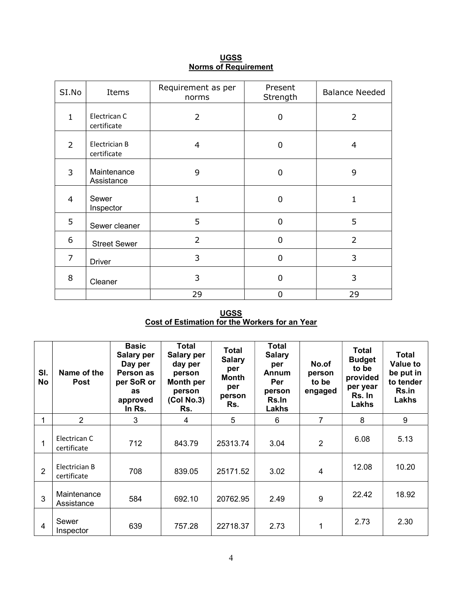| SI.No          | Items                        | Requirement as per<br>norms | Present<br>Strength | <b>Balance Needed</b> |
|----------------|------------------------------|-----------------------------|---------------------|-----------------------|
| $\mathbf{1}$   | Electrican C<br>certificate  | $\overline{2}$              | 0                   | $\overline{2}$        |
| $\overline{2}$ | Electrician B<br>certificate | 4                           | 0                   | 4                     |
| 3              | Maintenance<br>Assistance    | 9                           | 0                   | 9                     |
| $\overline{4}$ | Sewer<br>Inspector           | 1                           | 0                   | 1                     |
| 5              | Sewer cleaner                | 5                           | $\Omega$            | 5                     |
| 6              | <b>Street Sewer</b>          | $\overline{2}$              | 0                   | $\overline{2}$        |
| $\overline{7}$ | <b>Driver</b>                | 3                           | 0                   | 3                     |
| 8              | Cleaner                      | 3                           | 0                   | 3                     |
|                |                              | 29                          | 0                   | 29                    |

<u>UGSS</u> Norms of Requirement

UGSS Cost of Estimation for the Workers for an Year

| SI.<br><b>No</b> | Name of the<br><b>Post</b>   | <b>Basic</b><br>Salary per<br>Day per<br>Person as<br>per SoR or<br>as<br>approved<br>In Rs. | <b>Total</b><br><b>Salary per</b><br>day per<br>person<br>Month per<br>person<br>(Col No.3)<br>Rs. | Total<br><b>Salary</b><br>per<br>Month<br>per<br>person<br>Rs. | <b>Total</b><br><b>Salary</b><br>per<br><b>Annum</b><br>Per<br>person<br>Rs.In<br>Lakhs | No.of<br>person<br>to be<br>engaged | Total<br><b>Budget</b><br>to be<br>provided<br>per year<br>Rs. In<br>Lakhs | <b>Total</b><br><b>Value to</b><br>be put in<br>to tender<br>Rs.in<br>Lakhs |
|------------------|------------------------------|----------------------------------------------------------------------------------------------|----------------------------------------------------------------------------------------------------|----------------------------------------------------------------|-----------------------------------------------------------------------------------------|-------------------------------------|----------------------------------------------------------------------------|-----------------------------------------------------------------------------|
| 4                | 2                            | 3                                                                                            | 4                                                                                                  | 5                                                              | 6                                                                                       | 7                                   | 8                                                                          | 9                                                                           |
| 1                | Electrican C<br>certificate  | 712                                                                                          | 843.79                                                                                             | 25313.74                                                       | 3.04                                                                                    | 2                                   | 6.08                                                                       | 5.13                                                                        |
| $\overline{2}$   | Electrician B<br>certificate | 708                                                                                          | 839.05                                                                                             | 25171.52                                                       | 3.02                                                                                    | 4                                   | 12.08                                                                      | 10.20                                                                       |
| 3                | Maintenance<br>Assistance    | 584                                                                                          | 692.10                                                                                             | 20762.95                                                       | 2.49                                                                                    | 9                                   | 22.42                                                                      | 18.92                                                                       |
| $\overline{4}$   | Sewer<br>Inspector           | 639                                                                                          | 757.28                                                                                             | 22718.37                                                       | 2.73                                                                                    | 1                                   | 2.73                                                                       | 2.30                                                                        |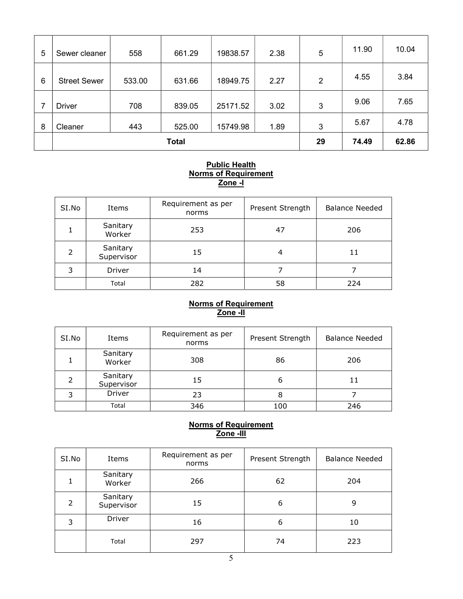| 5 | Sewer cleaner       | 558    | 661.29       | 19838.57 | 2.38 | 5              | 11.90 | 10.04 |
|---|---------------------|--------|--------------|----------|------|----------------|-------|-------|
| 6 | <b>Street Sewer</b> | 533.00 | 631.66       | 18949.75 | 2.27 | $\overline{2}$ | 4.55  | 3.84  |
| 7 | <b>Driver</b>       | 708    | 839.05       | 25171.52 | 3.02 | 3              | 9.06  | 7.65  |
| 8 | Cleaner             | 443    | 525.00       | 15749.98 | 1.89 | 3              | 5.67  | 4.78  |
|   |                     |        | <b>Total</b> |          |      | 29             | 74.49 | 62.86 |

#### Public Health Norms of Requirement Zone -I

| SI.No | Items                  | Requirement as per<br>norms | Present Strength | <b>Balance Needed</b> |
|-------|------------------------|-----------------------------|------------------|-----------------------|
|       | Sanitary<br>Worker     | 253                         | 47               | 206                   |
| フ     | Sanitary<br>Supervisor | 15                          | 4                | 11                    |
| 3     | Driver                 | 14                          |                  |                       |
|       | Total                  | 282                         | 58               | 224                   |

## Norms of Requirement <u>Zone -II</u>

| SI.No | Items                  | Requirement as per<br>norms | Present Strength |     |
|-------|------------------------|-----------------------------|------------------|-----|
|       | Sanitary<br>Worker     | 308                         | 86               | 206 |
|       | Sanitary<br>Supervisor | 15                          | 6                | 11  |
| 3     | Driver                 | 23                          | 8                |     |
|       | Total                  | 346                         | 100              | 246 |

## Norms of Requirement <u>Zone -III</u>

| SI.No         | Items                  | Requirement as per<br>norms | Present Strength |     |
|---------------|------------------------|-----------------------------|------------------|-----|
|               | Sanitary<br>Worker     | 266                         | 62               | 204 |
| $\mathcal{P}$ | Sanitary<br>Supervisor | 15                          | 6                | 9   |
| 3             | Driver                 | 16                          | 6                | 10  |
|               | Total                  | 297                         | 74               | 223 |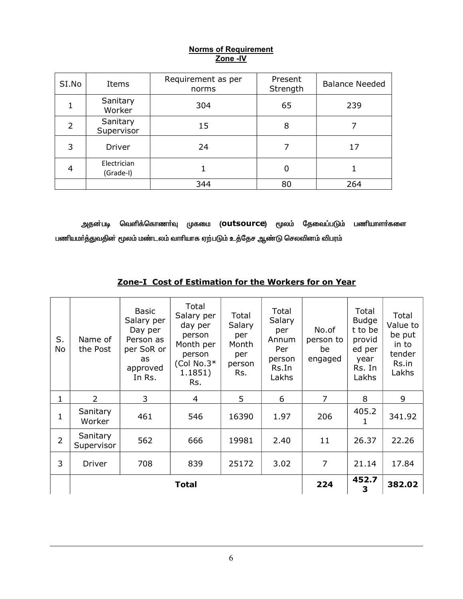## Norms of Requirement <u>Zone -IV</u>

| SI.No | Items                    | Requirement as per<br>norms | Present<br>Strength | <b>Balance Needed</b> |
|-------|--------------------------|-----------------------------|---------------------|-----------------------|
|       | Sanitary<br>Worker       | 304                         | 65                  | 239                   |
|       | Sanitary<br>Supervisor   | 15                          | 8                   |                       |
| 3     | Driver                   | 24                          |                     | 17                    |
| 4     | Electrician<br>(Grade-I) |                             |                     |                       |
|       |                          | 344                         | 80                  | 264                   |

அதன்படி வெளிக்கொணா்வு முகமை (Outsource) மூலம் தேவைப்படும் பணியாளா்களை பணியமர்த்துவதின் மூலம் மண்டலம் வாரியாக ஏற்படும் உத்தேச ஆண்டு செலவினம் விபரம்

| S.<br>No       | Name of<br>the Post    | <b>Basic</b><br>Salary per<br>Day per<br>Person as<br>per SoR or<br>as<br>approved<br>In Rs. | Total<br>Salary per<br>day per<br>person<br>Month per<br>person<br>(Col No.3 $*$<br>1.1851)<br>Rs. | Total<br>Salary<br>per<br>Month<br>per<br>person<br>Rs. | Total<br>Salary<br>per<br>Annum<br>Per<br>person<br>Rs.In<br>Lakhs | No.of<br>person to<br>be<br>engaged | Total<br><b>Budge</b><br>t to be<br>provid<br>ed per<br>year<br>Rs. In<br>Lakhs | Total<br>Value to<br>be put<br>in to<br>tender<br>Rs.in<br>Lakhs |
|----------------|------------------------|----------------------------------------------------------------------------------------------|----------------------------------------------------------------------------------------------------|---------------------------------------------------------|--------------------------------------------------------------------|-------------------------------------|---------------------------------------------------------------------------------|------------------------------------------------------------------|
| 1              | $\overline{2}$         | 3                                                                                            | 4                                                                                                  | 5                                                       | 6                                                                  | 7                                   | 8                                                                               | 9                                                                |
| 1              | Sanitary<br>Worker     | 461                                                                                          | 546                                                                                                | 16390                                                   | 1.97                                                               | 206                                 | 405.2<br>1                                                                      | 341.92                                                           |
| $\overline{2}$ | Sanitary<br>Supervisor | 562                                                                                          | 666                                                                                                | 19981                                                   | 2.40                                                               | 11                                  | 26.37                                                                           | 22.26                                                            |
| 3              | Driver                 | 708                                                                                          | 839                                                                                                | 25172                                                   | 3.02                                                               | $\overline{7}$                      | 21.14                                                                           | 17.84                                                            |
|                |                        |                                                                                              | 224                                                                                                | 452.7<br>3                                              | 382.02                                                             |                                     |                                                                                 |                                                                  |

# Zone-I Cost of Estimation for the Workers for on Year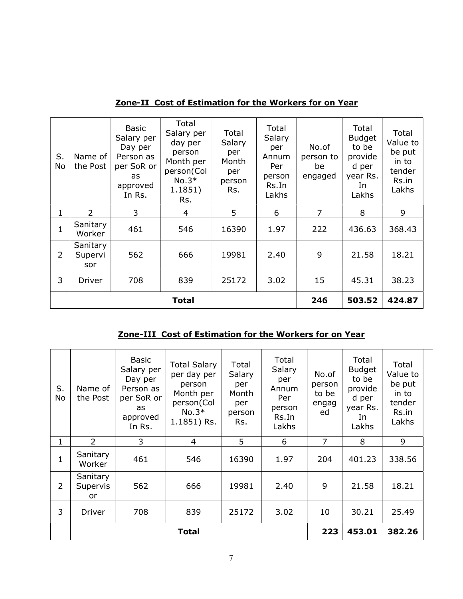| S.<br><b>No</b> | Name of<br>the Post        | <b>Basic</b><br>Salary per<br>Day per<br>Person as<br>per SoR or<br>as<br>approved<br>In Rs. | Total<br>Salary per<br>day per<br>person<br>Month per<br>person(Col<br>$No.3*$<br>1.1851)<br>Rs. | Total<br>Salary<br>per<br>Month<br>per<br>person<br>Rs. | Total<br>Salary<br>per<br>Annum<br>Per<br>person<br>Rs.In<br>Lakhs | No.of<br>person to<br>be<br>engaged | Total<br><b>Budget</b><br>to be<br>provide<br>d per<br>year Rs.<br>In<br>Lakhs | Total<br>Value to<br>be put<br>in to<br>tender<br>Rs.in<br>Lakhs |
|-----------------|----------------------------|----------------------------------------------------------------------------------------------|--------------------------------------------------------------------------------------------------|---------------------------------------------------------|--------------------------------------------------------------------|-------------------------------------|--------------------------------------------------------------------------------|------------------------------------------------------------------|
| 1               | 2                          | 3                                                                                            | 4                                                                                                | 5                                                       | 6                                                                  | $\overline{7}$                      | 8                                                                              | 9                                                                |
| $\mathbf{1}$    | Sanitary<br>Worker         | 461                                                                                          | 546                                                                                              | 16390                                                   | 1.97                                                               | 222                                 | 436.63                                                                         | 368.43                                                           |
| $\overline{2}$  | Sanitary<br>Supervi<br>sor | 562                                                                                          | 666                                                                                              | 19981                                                   | 2.40                                                               | 9                                   | 21.58                                                                          | 18.21                                                            |
| 3               | Driver                     | 708                                                                                          | 839                                                                                              | 25172                                                   | 3.02                                                               | 15                                  | 45.31                                                                          | 38.23                                                            |
|                 |                            |                                                                                              | <b>Total</b>                                                                                     |                                                         |                                                                    | 246                                 | 503.52                                                                         | 424.87                                                           |

Zone-II Cost of Estimation for the Workers for on Year

# Zone-III Cost of Estimation for the Workers for on Year

| S.<br>No | Name of<br>the Post        | <b>Basic</b><br>Salary per<br>Day per<br>Person as<br>per SoR or<br>as<br>approved<br>In Rs. | <b>Total Salary</b><br>per day per<br>person<br>Month per<br>person(Col<br>$No.3*$<br>1.1851) Rs. | Total<br>Salary<br>per<br>Month<br>per<br>person<br>Rs. | Total<br>Salary<br>per<br>Annum<br>Per<br>person<br>Rs.In<br>Lakhs | No.of<br>person<br>to be<br>engag<br>ed | Total<br><b>Budget</b><br>to be<br>provide<br>d per<br>year Rs.<br>In<br>Lakhs | Total<br>Value to<br>be put<br>in to<br>tender<br>Rs.in<br>Lakhs |
|----------|----------------------------|----------------------------------------------------------------------------------------------|---------------------------------------------------------------------------------------------------|---------------------------------------------------------|--------------------------------------------------------------------|-----------------------------------------|--------------------------------------------------------------------------------|------------------------------------------------------------------|
| 1        | $\overline{2}$             | 3                                                                                            | 4                                                                                                 | 5                                                       | 6                                                                  | 7                                       | 8                                                                              | 9                                                                |
| 1        | Sanitary<br>Worker         | 461                                                                                          | 546                                                                                               | 16390                                                   | 1.97                                                               | 204                                     | 401.23                                                                         | 338.56                                                           |
| 2        | Sanitary<br>Supervis<br>or | 562                                                                                          | 666                                                                                               | 19981                                                   | 2.40                                                               | 9                                       | 21.58                                                                          | 18.21                                                            |
| 3        | Driver                     | 708                                                                                          | 839                                                                                               | 25172                                                   | 3.02                                                               | 10                                      | 30.21                                                                          | 25.49                                                            |
|          |                            |                                                                                              | <b>Total</b>                                                                                      |                                                         |                                                                    | 223                                     | 453.01                                                                         | 382.26                                                           |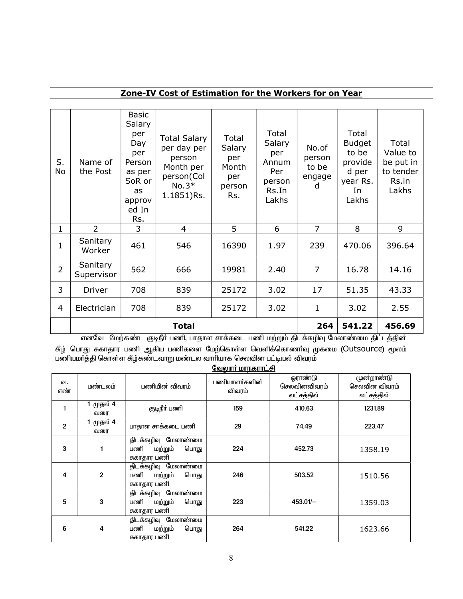# Zone-IV Cost of Estimation for the Workers for on Year

| S.<br>No       | Name of<br>the Post    | Basic<br>Salary<br>per<br>Day<br>per<br>Person<br>as per<br>SoR or<br>as<br>approv<br>ed In<br>Rs. | <b>Total Salary</b><br>per day per<br>person<br>Month per<br>person(Col<br>$No.3*$<br>1.1851)Rs. | Total<br>Salary<br>per<br>Month<br>per<br>person<br>Rs. | Total<br>Salary<br>per<br>Annum<br>Per<br>person<br>Rs.In<br>Lakhs | No.of<br>person<br>to be<br>engage<br>d | Total<br><b>Budget</b><br>to be<br>provide<br>d per<br>year Rs.<br>In<br>Lakhs | Total<br>Value to<br>be put in<br>to tender<br>Rs.in<br>Lakhs |
|----------------|------------------------|----------------------------------------------------------------------------------------------------|--------------------------------------------------------------------------------------------------|---------------------------------------------------------|--------------------------------------------------------------------|-----------------------------------------|--------------------------------------------------------------------------------|---------------------------------------------------------------|
| $\mathbf{1}$   | $\overline{2}$         | 3                                                                                                  | 4                                                                                                | 5                                                       | 6                                                                  | $\overline{7}$                          | 8                                                                              | 9                                                             |
| 1              | Sanitary<br>Worker     | 461                                                                                                | 546                                                                                              | 16390                                                   | 1.97                                                               | 239                                     | 470.06                                                                         | 396.64                                                        |
| $\overline{2}$ | Sanitary<br>Supervisor | 562                                                                                                | 666                                                                                              | 19981                                                   | 2.40                                                               | $\overline{7}$                          | 16.78                                                                          | 14.16                                                         |
| 3              | Driver                 | 708                                                                                                | 839                                                                                              | 25172                                                   | 3.02                                                               | 17                                      | 51.35                                                                          | 43.33                                                         |
| 4              | Electrician            | 708                                                                                                | 839                                                                                              | 25172                                                   | 3.02                                                               | $\mathbf 1$                             | 3.02                                                                           | 2.55                                                          |
|                |                        |                                                                                                    | <b>Total</b>                                                                                     |                                                         |                                                                    | 264                                     | 541.22                                                                         | 456.69                                                        |

் எனவே மேற்கண்ட குடிநீா் பணி, பாதாள சாக்கடை பணி மற்றும் திடக்கழிவு மேலாண்மை திட்டத்தின

கீழ் பொது சுகாதார பணி ஆகிய பணிகளை மேற்கொள்ள வெளிக்கொணா்வு முகமை (Outsource) மூலம் பணியமா்த்தி கொள்ள கீழ்கண்டவாறு மண்டல வாாியாக செலவின பட்டியல் விவரம்

|                | <u>வேலுார் மாநகராட்சி</u> |                                                              |                         |                                              |                                           |  |  |
|----------------|---------------------------|--------------------------------------------------------------|-------------------------|----------------------------------------------|-------------------------------------------|--|--|
| வ.<br>எண்      | மண்டலம்                   | பணியின் விவாம்                                               | பணியாளர்களின்<br>விவரம் | <b>ஓராண்டு</b><br>செலவினவிவரம்<br>லட்சத்தில் | மூன்றாண்டு<br>செலவின விவரம்<br>லட்சத்தில் |  |  |
|                | 1 முதல் 4<br>வரை          | குடிநீர் பணி                                                 | 159                     | 410.63                                       | 1231.89                                   |  |  |
| $\overline{2}$ | முதல் 4<br>வரை            | பாதாள சாக்கடை பணி                                            | 29                      | 74.49                                        | 223.47                                    |  |  |
| 3              | 1                         | திடக்கழிவு மேலாண்மை<br>பணி<br>பொது<br>மற்றும்<br>சுகாதார பணி | 224                     | 452.73                                       | 1358.19                                   |  |  |
| 4              | $\overline{2}$            | திடக்கழிவு மேலாண்மை<br>பணி<br>மற்றும்<br>பொது<br>சுகாதார பணி | 246                     | 503.52                                       | 1510.56                                   |  |  |
| 5              | 3                         | திடக்கழிவு மேலாண்மை<br>பணி<br>பொது<br>மற்றும்<br>சுகாதார பணி | 223                     | $453.01/-$                                   | 1359.03                                   |  |  |
| 6              | 4                         | திடக்கழிவு மேலாண்மை<br>பணி<br>மற்றும்<br>பொது<br>சுகாதார பணி | 264                     | 541.22                                       | 1623.66                                   |  |  |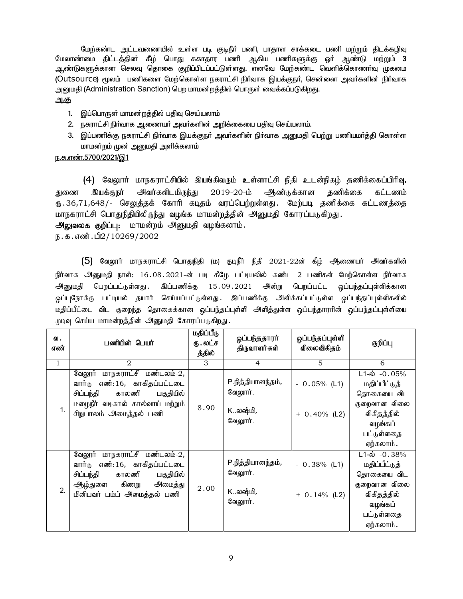மேற்கண்ட அட்டவணையில் உள்ள படி குடிநீா் பணி, பாதாள சாக்கடை பணி மற்றும் திடக்கழிவு மேலாண்மை திட்டத்தின் கீழ் பொது சுகாதார பணி ஆகிய பணிகளுக்கு ஓா் ஆண்டு மற்றும<mark>் 3</mark> ஆண்டுகளுக்கான செலவு தொகை குறிப்பிடப்பட்டுள்ளது. எனவே மேற்கண்ட வெளிக்கொணா்வு முகமை (Outsource) மூலம் பணிகளை மேற்கொள்ள நகராட்சி நிர்வாக இயக்குநர், சென்னை அவர்களின் நிர்வாக அனுமதி (Administration Sanction) பெற மாமன்றத்தில் பொருள் வைக்கப்படுகிறது.

## அ.கு

- 1. இப்பொருள் மாமன்றத்தில் பதிவு செய்யலாம்
- 2. நகராட்சி நிர்வாக ஆணையர் அவர்களின் அறிக்கையை பதிவு செய்யலாம்.
- 3. இப்பணிக்கு நகராட்சி நிர்வாக இயக்குநர் அவர்களின் நிர்வாக அனுமதி பெற்று பணியமர்த்தி கொள்ள மாமன்றம் முன் அனுமதி அளிக்கலாம்

## ந.க.எண்.5700/2021/இ1

 $(4)$  வேலூர் மாநகராட்சியில் இயங்கிவரும் உள்ளாட்சி நிதி உடன்நிகழ் தணிக்கைப்பிரிவு, துணை இயக்குநர் அவர்களிடமிருந்து 2019-20-ம் அண்டுக்கான தணிக்கை கட்டணம் ரு.36,71,648/- செலுத்தக் கோரி கடிதம் வரப்பெற்றுள்ளது. மேற்படி தணிக்கை கட்டணத்தை மாநகராட்சி பொதுநிதியிலிருந்து வழங்க மாமன்றத்தின் அனுமதி கோரப்படுகிறது.

அலுவலக குறிப்பு: மாமன்றம் அனுமதி வழங்கலாம்.

ந.க.எண்.பி2/10269/2002

 $(5)$  வேலூர் மாநகராட்சி பொதுநிதி (ம) குடிநீர் நிதி 2021-22ன் கீழ் ஆணையர் அவர்களின் நிர்வாக அனுமதி நாள்: 16.08.2021-ன் படி கீழே பட்டியலில் கண்ட 2 பணிகள் மேற்கொள்ள நிர்வாக அனுமதி பெறப்பட்டுள்ளது .இப்பணிக்கு 15.09.2021 அன்று பெறப்பட்ட ஒப்பந்தப்புள்ளிக்கான ஒப்புநோக்கு பட்டியல் தயார் செய்யப்பட்டுள்ளது. இப்பணிக்கு அி்க்கப்பட்டுள்ள ஒப்பந்தப்புள்ளிகளில் மதிப்பீட்டை விட குறைந்த தொகைக்கான ஒப்பந்தப்புள்ளி அளித்துள்ள ஒப்பந்தாரரின் ஒப்பந்தப்புள்ளியை முடிவு செய்ய மாமன்றத்தின் அனுமதி கோரப்படுகிறது.

| ഖ.<br>எண்      | பணியின் பெயர்                                                                                                                                                       | மதிப்பீடு<br>ரு . லட்ச<br>த்தில் | ஒப்பந்ததாரர்<br>திருவாளர்கள்                       | ஒப்பந்தப்புள்ளி<br>விலைவிகிதம்    | குறிப்பு                                                                                                                        |
|----------------|---------------------------------------------------------------------------------------------------------------------------------------------------------------------|----------------------------------|----------------------------------------------------|-----------------------------------|---------------------------------------------------------------------------------------------------------------------------------|
| $\mathbf{1}$   | $\mathfrak{D}$                                                                                                                                                      | 3                                | $\overline{4}$                                     | 5                                 | 6                                                                                                                               |
|                | மாநகராட்சி மண்டலம்-2,<br>வேலூர்<br>எண்:16, காகிதப்பட்டடை<br>வார்டு<br>சிப்பந்தி<br>காலணி<br>பகுதியில்<br>மழைநீர் வடிகால் கால்வாய் மற்றும்<br>சிறுபாலம் அமைத்தல் பணி | 8.90                             | P.நித்தியானந்தம்,<br>வேலூர்.<br>Kலஷ்மி,<br>வேலூர். | $-0.05\%$ (L1)<br>$+ 0.40\%$ (L2) | $\overline{L1}$ -ல் -0.05%<br>மதிப்பீட்டுத்<br>தொகையை விட<br>குறைவான விலை<br>விகிதத்தில்<br>வழங்கப்<br>பட்டுள்ளதை<br>ஏற்கலாம் . |
| $\mathfrak{D}$ | மாநகராட்சி மண்டலம்-2,<br>வேலூர்<br>எண்:16, காகிதப்பட்டடை<br>வார்டு<br>சிப்பந்தி<br>காலணி<br>பகுதியில்<br>கிணறு<br>அமைத்து<br>ஆழ்துளை<br>மினிபவர் பம்ப் அமைத்தல் பணி | 2.00                             | P.நித்தியானந்தம்,<br>வேலூர்.<br>Kலஷ்மி,<br>வேலூர். | $-0.38\%$ (L1)<br>$+ 0.14\%$ (L2) | $L1-\dot{\omega}$ -0.38%<br>மதிப்பீட்டுத்<br>தொகையை விட<br>குறைவான விலை<br>விகிதத்தில்<br>வழங்கப்<br>பட்டுள்ளதை<br>ஏற்கலாம் .   |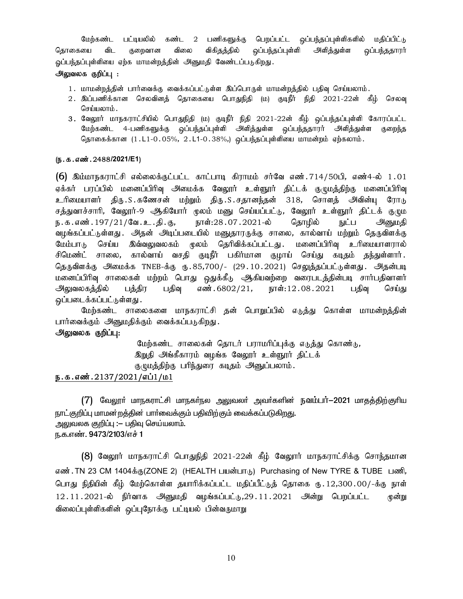மேற்கண்ட பட்டியலில் கண்ட 2 பணிகளுக்கு பெறப்பட்ட ஒப்பந்தப்புள்ளிகளில் மதிப்பிட்டு தொகையை விட குறைவான விலை விகிதத்தில் ஒப்பந்தப்புள்ளி அளித்துள்ள ஒப்பந்ததாரர் ஓப்பந்தப்புள்ளியை ஏற்க மாமன்றத்தின் அனுமதி வேண்டப்படுகிறது.

## அலுவலக குறிப்பு :

- 1. மாமன்றத்தின் பார்வைக்கு வைக்கப்பட்டுள்ள இப்பொருள் மாமன்றத்தில் பதிவு செய்யலாம்.
- 2. இப்பணிக்கான செலவினத் தொகையை பொதுநிதி (ம) குடிநீர் நிதி 2021-22ன் கீழ் செலவு செய்யலாம்.
- 3. வேலூர் மாநகராட்சியில் பொதுநிதி (ம) குடிநீர் நிதி 2021-22ன் கீழ் ஒப்பந்தப்புள்ளி கோரப்பட்ட மேற்கண்ட 4-பணிகளுக்கு ஒப்பந்தப்புள்ளி அளித்துள்ள ஒப்பந்ததாரர் அளித்துள்ள குறைந்த தொகைக்கான  $(1.L1-0.05\%, 2.L1-0.38\%),$  ஒப்பந்தப்புள்ளியை மாமன்றம் ஏற்கலாம்.

## (ந.க.எண்.2488/2021/E1)

 $(6)$  இம்மாநகராட்சி எல்லைக்குட்பட்ட காட்பாடி கிராமம் சர்வே எண்.714/50பி, எண்4-ல் 1.01 ஏக்கர் பரப்பில் மனைப்பிரிவு அமைக்க வேலூர் உள்ளூர் திட்டக் குழுமத்திற்கு மனைப்பிரிவு உரிமையாளர் திரு.S.கணேசன் மற்றும் திரு.S.சதானந்தன் 318, சொளத் அவின்யு ரோடு சத்துவாச்சாரி, வேலூர்-9 ஆகியோர் முலம் மனு செய்யப்பட்டு, வேலூர் உள்ளூர் திட்டக் குழும ந.க.எண்.197/21/வே.உ.தி.கு, நாள்:28.07.2021-ல் தொழில் நுட்ப அ்<u>ன</u>ுமதி வழங்கப்பட்டுள்ளது . அதன் அடிப்படையில் மனுதாரருக்கு சாலை, கால்வாய் மற்றும் தெருவிளக்கு மேம்பாடு செய்ய இவ்வலுவலகம் முலம் தெரிவிக்கப்பட்டது. மனைப்பிரிவு உரிமையாளரால் சிமெண்ட் சாலை, கால்வாய் வசதி குடிநீர் பகிர்மான குழாய் செய்து கடிதம் தந்துள்ளார். தெருவிளக்கு அமைக்க TNEB-க்கு ரு.85,700/- (29.10.2021) செ<u>லுத்த</u>ப்பட்டுள்ளது. அதன்படி மனைப்பிரிவு சாலைகள் மற்றம் பொது ஒதுக்கீடு ஆகியவற்றை வரைபடத்தின்படி சார்பதிவாளர் <u>அலுவலகத்தில் பத்திர பதிவு</u> எண்.6802/21, நாள்:12.08.2021 பதிவு செய்து ஒப்படைக்கப்பட்டுள்ளது .

மேற்கண்ட சாலைகளை மாநகராட்சி தன் பொறுப்பில் எடுத்து கொள்ள மாமன்றத்தின் பார்வைக்கும் அனுமதிக்கும் வைக்கப்படுகிறது.

## அலுவலக குறிப்பு:

மேற்கண்ட சாலைகள் தொடர் பராமரிப்புக்கு எடுத்து கொண்டு, இறுதி அங்கீகாரம் வழங்க வேலூர் உள்ளூர் திட்டக்

குழுமத்திற்கு பரிந்துரை கடிதம் அனுப்பலாம்.

# ந.க.எண். $2137/2021/\pi$ ப் $1/\mu$ 1

 $(7)$  வேலூா் மாநகராட்சி மாநகா்நல அலுவலா் அவா்களின் நவம்பா் $-$ 2021 மாதத்திற்குாிய நாட்குறிப்பு மாமன்றத்தின் பார்வைக்கும் பதிவிற்கும் வைக்கப்படுகிறது. அலுவலக குறிப்பு :— பதிவு செய்யலாம். ந.க.எண். 9473/2103/எச் 1

 $(8)$  வேலூர் மாநகராட்சி பொதுநிதி 2021-22ன் கீழ் வேலூர் மாநகராட்சிக்கு சொந்தமான எண். TN 23 CM 1404க்கு(ZONE 2) (HEALTH பயன்பாடு) Purchasing of New TYRE & TUBE பணி, பொது நிதியின் கீழ் மேற்கொள்ள தயாரிக்கப்பட்ட மதிப்பீட்டுத் தொகை ரு. 12,300 00/-க்கு நாள்  $12.11.2021$ -ல் நிர்வாக அனுமதி வழங்கப்பட்டு,29 $.11.2021$  அன்று பெறப்பட்ட முன்று விலைப்புள்ளிகளின் ஒப்புநோக்கு பட்டியல் பின்வருமாறு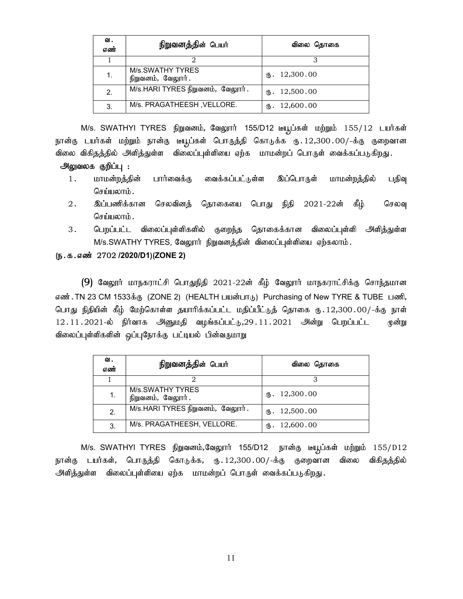| ഖ.<br>எண் | நிறுவனத்தின் பெயர்                    | விலை தொகை                |
|-----------|---------------------------------------|--------------------------|
|           |                                       |                          |
| 1.        | M/s.SWATHY TYRES<br>நிறுவனம், வேலூர். | $\mathbf{t}$ . 12,300.00 |
| 2.        | M/s.HARI TYRES நிறுவனம், வேலூர்.      | m. 12,500.00             |
| 3.        | M/s. PRAGATHEESH, VELLORE.            | 12,600.00<br>∉Ҧ.         |

M/s. SWATHYI TYRES நிறுவனம், வேலூர் 155/D12 டீயூப்கள் மற்றும் 155/12 டயர்கள் நான்கு டயர்கள் மற்றும் நான்கு டீயூப்கள் பொருத்தி கொடுக்க ரு.12,300.00/-க்கு குறைவான விலை விகிதத்தில் அளித்துள்ள விலைப்புள்ளியை ஏற்க மாமன்றப் பொருள் வைக்கப்படுகிறது.

## அலுவலக குறிப்பு :

- 1. மாமன்றத்தின் பார்வைக்கு வைக்கப்பட்டுள்ள இப்பொருள் மாமன்றத்தில் பதிவு செய்யலாம்.
- 2. இப்பணிக்கான செலவினத் தொகையை பொது நிதி 2021-22ன் கீழ் செலவு செய்யலாம்.
- 3. பெறப்பட்ட விலைப்புள்ளிகளில் குறைந்த தொகைக்கான விலைப்புள்ளி அளித்துள்ள M/s.SWATHY TYRES, வேலூர் நிறுவனத்தின் விலைப்புள்ளியை ஏற்கலாம்.

## (ந.க.எண் 2702 /2020/D1)(ZONE 2)

 $(9)$  வேலூர் மாநகராட்சி பொதுநிதி 2021-22ன் கீழ் வேலூர் மாநகராட்சிக்கு சொந்தமான எண். TN 23 CM 1533க்கு (ZONE 2) (HEALTH பயன்பாடு) Purchasing of New TYRE & TUBE பணி, பொது நிதியின் கீழ் மேற்கொள்ள தயாரிக்கப்பட்ட மதிப்பீட்டுத் தொகை ரு. 12,300 00/-க்கு நாள்  $12.11.2021$ -ல் நிர்வாக அினுமதி வழங்கப்பட்டு,29 $.11.2021$  அன்று பெறப்பட்ட முன்று விலைப்புள்ளிகளின் ஒப்புநோக்கு பட்டியல் பின்வருமாறு

| ഖ.<br>எண் | நிறுவனத்தின் பெயர்                    | விலை தொகை                |
|-----------|---------------------------------------|--------------------------|
|           |                                       |                          |
| 1.        | M/s.SWATHY TYRES<br>நிறுவனம், வேலூர். | $\mathbf{t}$ . 12,300.00 |
| 2.        | M/s.HARI TYRES நிறுவனம், வேலூர்.      | $\text{I}2,500.00$       |
| 3.        | M/s. PRAGATHEESH, VELLORE.            | 12,600.00<br>∉Ҧ.         |

 $M/s$ . SWATHYI TYRES நிறுவனம்,வேலூர் 155/D12 நான்கு டீயூப்கள் மற்றும் 155/D12 நான்கு டயர்கள், பொருத்தி கொடுக்க, ரூ.12,300.00/-க்கு குறைவான விலை விகிதத்தில் அளித்துள்ள விலைப்புள்ளியை ஏற்க மாமன்றப் பொருள் வைக்கப்படுகிறது.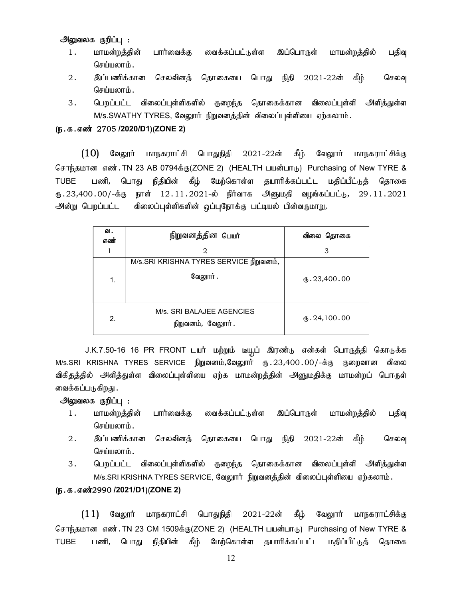## அலுவலக குறிப்பு :

- 1. மாமன்றத்தின் பார்வைக்கு வைக்கப்பட்டுள்ள இப்பொருள் மாமன்றத்தில் பதிவு செய்யலாம்.
- 2 . இப்பணிக்கான செலவினத் தொகையை பொது நிதி 2021-22ன் கீழ் செலவு செய்யலாம்.
- 3. பெறப்பட்ட விலைப்புள்ளிகளில் குறைந்த தொகைக்கான விலைப்புள்ளி அளித்துள்ள M/s.SWATHY TYRES, வேலூர் நிறுவனத்தின் விலைப்புள்ளியை ஏற்கலாம்.

## (ந.க.எண் 2705 /2020/D1)(ZONE 2)

 $(10)$  வேலூர் மாநகராட்சி பொதுநிதி 2021-22ன் கீழ் வேலூர் மாநகராட்சிக்கு சொந்தமான எண். TN 23 AB 0794க்கு(ZONE 2) (HEALTH பயன்பாடு) Purchasing of New TYRE & TUBE பணி, பொது நிதியின் கீழ் மேற்கொள்ள தயாரிக்கப்பட்ட மதிப்பீட்டுத் தொகை ரு.23,400.00/-க்கு நாள் 12.11.2021-ல் நிர்வாக அினுமதி வழங்கப்பட்டு, 29.11.2021 அன்று பெறப்பட்ட விலைப்புள்ளிகளின் ஒப்புநோக்கு பட்டியல் பின்வருமாறு,

| ഖ.<br>எண் | நிறுவனத்தின <b>பெயர்</b>                            | விலை தொகை                |
|-----------|-----------------------------------------------------|--------------------------|
|           | 2                                                   | 3                        |
| 1.        | M/s.SRI KRISHNA TYRES SERVICE நிறுவனம்,<br>வேலூர் . | m.23,400.00              |
| 2.        | M/s. SRI BALAJEE AGENCIES<br>நிறுவனம், வேலூர்.      | $\mathbf{t}$ . 24,100.00 |

J.K.7.50-16 16 PR FRONT டயர் மற்றும் டீயூட் இரண்டு என்கள் பொருத்தி கொடுக்க M/s.SRI KRISHNA TYRES SERVICE நிறுவனம்,வேலூர் ரு. 23,400.00/-க்கு குறைவான விலை விகிதத்தில் அளித்துள்ள விலைப்புள்ளியை ஏற்க மாமன்றத்தின் அனுமதிக்கு மாமன்றப் பொருள் வைக்கப்படுகிறது .

#### அலுவலக குறிப்பு :

- 1. மாமன்றத்தின் பார்வைக்கு வைக்கப்பட்டுள்ள இப்பொருள் மாமன்றத்தில் பதிவு செய்யலாம்.
- 2. இப்பணிக்கான செலவினத் தொகையை பொது நிதி 2021-22ன் கீழ் செலவு செய்யலாம் $\,$ .
- 3. பெறப்பட்ட விலைப்புள்ளிகளில் குறைந்த தொகைக்கான விலைப்புள்ளி அளித்துள்ள M/s.SRI KRISHNA TYRES SERVICE, வேலூார் நிறுவனத்தின் விலைப்புள்ளியை ஏற்கலாம்.

#### (ந.க.எண்2990 /2021/D1)(ZONE 2)

 $(11)$  வேலூர் மாநகராட்சி பொதுநிதி 2021-22ன் கீழ் வேலூர் மாநகராட்சிக்கு சொந்தமான எண். TN 23 CM 1509க்கு(ZONE 2) (HEALTH பயன்பாடு) Purchasing of New TYRE & TUBE பணி, பொது நிதியின் கீழ் மேற்கொள்ள தயாரிக்கப்பட்ட மதிப்பீட்டுத் தொகை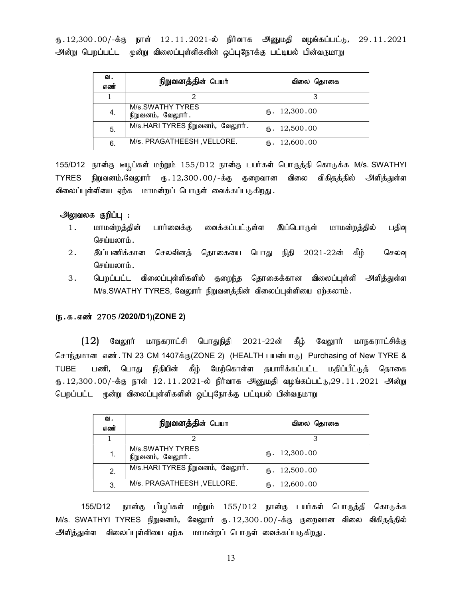ரு.12,300.00/-க்கு நாள் 12.11.2021-ல் நிர்வாக அனுமதி வழங்கப்பட்டு, 29.11.2021 அன்று பெறப்பட்ட மூன்று விலைப்புள்ளிகளின் ஒப்புநோக்கு பட்டியல் பின்வருமாறு

| ഖ.<br>எண் | நிறுவனத்தின் பெயர்                           | விலை தொகை                |
|-----------|----------------------------------------------|--------------------------|
|           |                                              |                          |
| 4.        | <b>M/s.SWATHY TYRES</b><br>நிறுவனம், வேலூர். | $\mathbf{t}$ . 12,300.00 |
| 5.        | M/s.HARI TYRES நிறுவனம், வேலூர்.             | m. 12,500.00             |
| 6.        | M/s. PRAGATHEESH, VELLORE.                   | 12,600.00<br>ரு.         |

155/D12 நான்கு டீயூப்கள் மற்றும் 155/D12 நான்கு டயர்கள் பொருத்தி கொடுக்க M/s. SWATHYI TYRES நிறுவனம்,வேலூார் ரு. 12,300.00/-க்கு குறைவான விலை விகிதத்தில் அளித்துள்ள விலைப்புள்ளியை ஏற்க மாமன்றப் பொருள் வைக்கப்படுகிறது .

## அலுவலக குறிப்பு :

- 1. மாமன்றத்தின் பார்வைக்கு வைக்கப்பட்டுள்ள இப்பொருள் மாமன்றத்தில் பதிவு செய்யலாம்.
- 2. இப்பணிக்கான செலவினத் தொகையை பொது நிதி 2021-22ன் கீழ் செலவு செய்யலாம்.
- 3. பெறப்பட்ட விலைப்புள்ளிகளில் குறைந்த தொகைக்கான விலைப்புள்ளி அளித்துள்ள M/s.SWATHY TYRES, வேலூர் நிறுவனத்தின் விலைப்புள்ளியை ஏற்கலாம்.

#### (ந.க.எண் 2705 /2020/D1)(ZONE 2)

 $(12)$  வேலூர் மாநகராட்சி பொதுநிதி 2021-22ன் கீழ் வேலூர் மாநகராட்சிக்கு சொந்தமான எண். TN 23 CM 1407க்கு(ZONE 2) (HEALTH பயன்பாடு) Purchasing of New TYRE & TUBE பணி, பொது நிதியின் கீழ் மேற்கொள்ள தயாரிக்கப்பட்ட மதிப்பீட்டுத் தொகை ரு.12,300.00/-க்கு நாள் 12.11.2021-ல் நிர்வாக அனுமதி வழங்கப்பட்டு,29.11.2021 அன்று பெறப்பட்ட மூன்று விலைப்புள்ளிகளின் ஒப்புநோக்கு பட்டியல் பின்வருமாறு

| 입.<br>எண் | நிறுவனத்தின் பெயா                     | விலை தொகை                |
|-----------|---------------------------------------|--------------------------|
|           |                                       | З                        |
| 1.        | M/s.SWATHY TYRES<br>நிறுவனம், வேலூர். | $\mathbf{t}$ . 12,300.00 |
| 2.        | M/s.HARI TYRES நிறுவனம், வேலூர்.      | $\mathbf{t}$ . 12,500.00 |
| 3.        | M/s. PRAGATHEESH, VELLORE.            | $\mathbf{t}$ . 12,600.00 |

155/D12 நான்கு பீயூப்கள் மற்றும் 155/D12 நான்கு டயர்கள் பொருத்தி கொடுக்க M/s. SWATHYI TYRES நிறுவனம், வேலூார் ரு.12,300.00/-க்கு குறைவான விலை விகிதத்தில் அளித்துள்ள விலைப்புள்ளியை ஏற்க மாமன்றப் பொருள் வைக்கப்படுகிறது.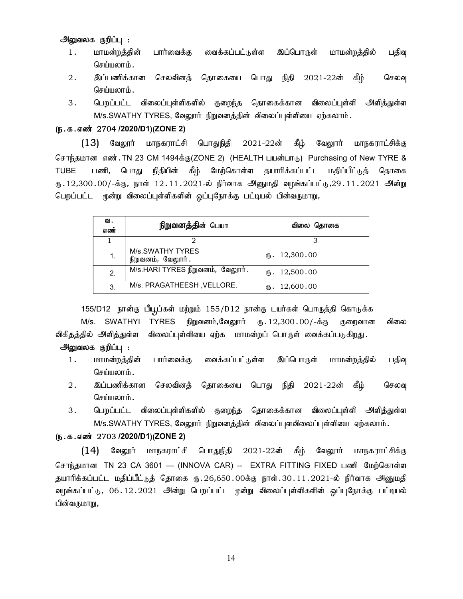## அலுவலக குறிப்பு :

- 1. மாமன்றத்தின் பார்வைக்கு வைக்கப்பட்டுள்ள இப்பொருள் மாமன்றத்தில் பதிவு செய்யலாம்.
- 2 . இப்பணிக்கான செலவினத் தொகையை பொது நிதி 2021-22ன் கீழ் செலவு செய்யலாம்.
- 3. பெறப்பட்ட விலைப்புள்ளிகளில் குறைந்த தொகைக்கான விலைப்புள்ளி அளித்துள்ள M/s.SWATHY TYRES, வேலூர் நிறுவனத்தின் விலைப்புள்ளியை ஏற்கலாம்.

## (ந.க.எண் 2704 /2020/D1)(ZONE 2)

 $(13)$  வேலூர் மாநகராட்சி பொதுநிதி 2021-22ன் கீழ் வேலூர் மாநகராட்சிக்கு சொந்தமான எண். TN 23 CM 1494க்கு(ZONE 2) (HEALTH பயன்பாடு) Purchasing of New TYRE & TUBE பணி, பொது நிதியின் கீழ் மேற்கொள்ள தயாரிக்கப்பட்ட மதிப்பீட்டுத் தொகை ரு.12,300.00/-க்கு, நாள் 12.11.2021-ல் நிர்வாக அனுமதி வழங்கப்பட்டு,29.11.2021 அன்று பெறப்பட்ட மூன்று விலைப்புள்ளிகளின் ஒப்புநோக்கு பட்டியல் பின்வருமாறு,

| ഖ.<br>எண் | நிறுவனத்தின் பெயா                     | விலை தொகை          |
|-----------|---------------------------------------|--------------------|
|           |                                       |                    |
|           | M/s.SWATHY TYRES<br>நிறுவனம், வேலூர். | $\text{I}2,300.00$ |
| 2.        | M/s.HARI TYRES நிறுவனம், வேலூர்.      | (B. 12,500.00)     |
| 3.        | M/s. PRAGATHEESH, VELLORE.            | 12,600.00<br>∉Ҧ.   |

155/D12 நான்கு பீயூப்கள் மற்றும் 155/D12 நான்கு டயர்கள் பொருத்தி கொடுக்க  $M/s$ . SWATHYI TYRES நிறுவனம்,வேலுார் ரூ.12,300.00/-க்கு குறைவான விலை விகிதத்தில் அளித்துள்ள விலைப்புள்ளியை ஏற்க மாமன்றப் பொருள் வைக்கப்படுகிறது.

## அலுவலக குறிப்பு :

- 1. மாமன்றத்தின் பார்வைக்கு வைக்கப்பட்டுள்ள இப்பொருள் மாமன்றத்தில் பதிவு செய்யலாம்.
- 2. இப்பணிக்கான செலவினத் தொகையை பொது நிதி 2021-22ன் கீழ் செலவு செய்யலாம்.
- 3. பெறப்பட்ட விலைப்புள்ளிகளில் குறைந்த தொகைக்கான விலைப்புள்ளி அளித்துள்ள M/s.SWATHY TYRES, வேலூர் நிறுவனத்தின் விலைப்புளவிலைப்புள்ளியை ஏற்கலாம்.

## (ந.க.எண் 2703 /2020/D1)(ZONE 2)

 $(14)$  வேலூர் மாநகராட்சி பொதுநிதி 2021-22ன் கீழ் வேலூர் மாநகராட்சிக்கு சொந்தமான TN 23 CA 3601 — (INNOVA CAR) -- EXTRA FITTING FIXED பணி மேற்கொள்ள தயாரிக்கப்பட்ட மதிப்பீட்டுத் தொகை ரு.26,650.00க்கு நாள்.30.11.2021-ல் நிர்வாக அனுமதி வழங்கப்பட்டு, 06.12.2021 அன்று பெறப்பட்ட முன்று விலைப்புள்ளிகளின் ஒப்புநோக்கு பட்டியல் பின்வருமாறு,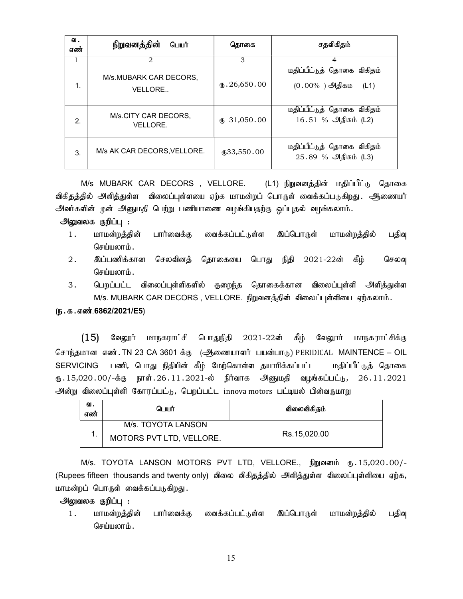| ഖ.<br>எண் | நிறுவனத்தின்<br>பெயர்             | தொகை                       | சதவிகிதம்                                               |
|-----------|-----------------------------------|----------------------------|---------------------------------------------------------|
| 1         | $\overline{2}$                    | 3                          | $\overline{4}$                                          |
| 1.        | M/s.MUBARK CAR DECORS,<br>VELLORE | $\text{I}5.26,650.00$      | மதிப்பீட்டுத் தொகை விகிதம்<br>$(0.00\%$ ) அதிகம<br>(L1) |
| 2.        | M/s.CITY CAR DECORS,<br>VELLORE.  | 31,050.00<br>ĆҦ            | மதிப்பீட்டுத் தொகை விகிதம்<br>16.51 % அதிகம் (L2)       |
| 3.        | M/s AK CAR DECORS, VELLORE.       | $\textcircled{f}33,550.00$ | மதிப்பீட்டுத் தொகை விகிதம்<br>25.89 % அதிகம் (L3)       |

M/s MUBARK CAR DECORS , VELLORE. (L1) நிறுவனத்தின் மதிப்பீட்டு தொகை விகிதத்தில் அளித்துள்ள விலைப்புள்ளயை ஏற்க மாமன்றப் பொருள் வைக்கப்படுகிறது . அணையர் அவர்களின் முன் அனுமதி பெற்று பணியாணை வழங்கியதற்கு ஒப்புதல் வழங்கலாம்.

#### அலுவலக குறிப்பு :

- 1. மாமன்றத்தின் பார்வைக்கு வைக்கப்பட்டுள்ள இப்பொருள் மாமன்றத்தில் பதிவு செய்யலாம்.
- 2. இப்பணிக்கான செலவினத் தொகையை பொது நிதி 2021-22ன் கீழ் செலவு செய்யலாம்.
- 3. பெறப்பட்ட விலைப்புள்ளிகளில் குறைந்த தொகைக்கான விலைப்புள்ளி அளித்துள்ள M/s. MUBARK CAR DECORS , VELLORE. நிறுவனத்தின் விலைப்புள்ளியை ஏற்கலாம்.

#### (ந.க.எண்.6862/2021/E5)

 $(15)$  வேலூர் மாநகராட்சி பொதுநிதி 2021-22ன் கீழ் வேலூர் மாநகராட்சிக்கு சொந்தமான எண். TN 23 CA 3601 க்கு (ஆணையாளர் பயன்பாடு) PERIDICAL MAINTENCE – OIL SERVICING பணி, பொது நிதியின் கீழ் மேற்கொள்ள தயாரிக்கப்பட்ட மதிப்பீட்டுத் தொகை ரு.15,020.00/-க்கு நாள்.26.11.2021-ல் நிர்வாக அினுமதி வழங்கப்பட்டு, 26.11.2021 அன்று விலைப்புள்ளி கோரப்பட்டு, பெறப்பட்ட innova motors பட்டியல் பின்வருமாறு

| ഖ.<br>எண் | பெயர்                    | விலைவிகிதம்  |  |  |
|-----------|--------------------------|--------------|--|--|
|           | M/s. TOYOTA LANSON       |              |  |  |
|           | MOTORS PVT LTD, VELLORE. | Rs.15.020.00 |  |  |

M/s. TOYOTA LANSON MOTORS PVT LTD, VELLORE., நிறுவனம் ரு. 15,020.00/-(Rupees fifteen thousands and twenty only) விலை விகிதத்தில் அளித்துள்ள விலைப்புள்ளியை ஏற்க, மாமன்றப் பொருள் வைக்கப்படுகிறது.

## அலுவலக குறிப்பு :

1. மாமன்றத்தின் பார்வைக்கு வைக்கப்பட்டுள்ள இப்பொருள் மாமன்றத்தில் பதிவு  $G$ சர்யமை $h$ ;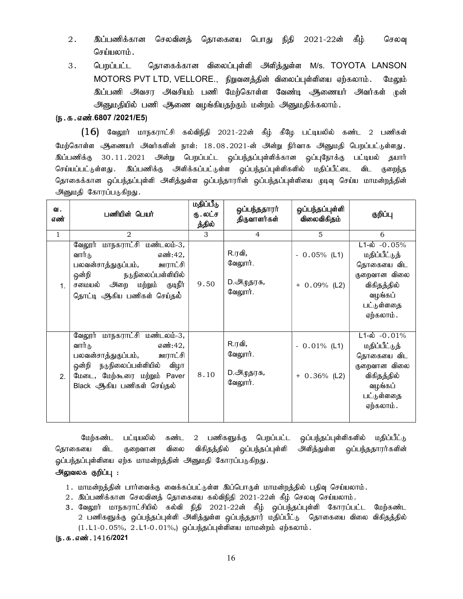- 2 . இப்பணிக்கான செலவினத் தொகையை பொது நிதி 2021-22ன் கீழ் செலவு செய்யலாம்.
- 3. பெறப்பட்ட தொகைக்கான விலைப்புள்ளி அளித்துள்ள M/s. TOYOTA LANSON MOTORS PVT LTD, VELLORE., நிறுவனத்தின் விலைப்புள்ளியை ஏற்கலாம். மேலும் இப்பணி அவசர அவசியம் பணி மேற்கொள்ள வேண்டி ஆணையர் அவர்கள் முன் அனுமதியில் பணி ஆணை வழங்கியதற்கும் மன்றம் அனுமதிக்கலாம்.

## (ந.க.எண்.6807 /2021/E5)

 $(16)$  வேலூர் மாநகராட்சி கல்விநிதி 2021-22ன் கீழ் கீழே பட்டியலில் கண்ட 2 பணிகள் மேற்கொள்ள ஆணையர் அவர்களின் நாள்: 18.08.2021-ன் அன்று நிர்வாக அனுமதி பெறப்பட்டுள்ளது. <u>இப்பணிக்கு</u> 30.11.2021 அன்று பெறப்பட்ட ஒப்பந்தப்புள்ளிக்கான ஒப்புநோக்கு பட்டியல் தயார் செய்யப்பட்டுள்ளது . இப்பணிக்கு அி்ககப்பட்டுள்ள ஒப்பந்தப்புள்ளிகளில் மதிப்பீட்டை விட குறைந்த தொகைக்கான ஒப்பந்தப்புள்ளி அளித்துள்ள ஒப்பந்தாரரின் ஒப்பந்தப்புள்ளியை முடிவு செய்ய மாமன்றத்தின் அனுமதி கோரப்படுகிறது.

| ഖ.<br>எண்    | பணியின் பெயர்                                                                                                                                                                              | மதிப்பீடு<br>ரு . லட்ச<br>த்தில் | ஒப்பந்ததாரா்<br>திருவாளர்கள்                       | ஒப்பந்தப்புள்ளி<br>விலைவிகிதம்    | குறிப்பு                                                                                                                       |
|--------------|--------------------------------------------------------------------------------------------------------------------------------------------------------------------------------------------|----------------------------------|----------------------------------------------------|-----------------------------------|--------------------------------------------------------------------------------------------------------------------------------|
| $\mathbf{1}$ | $\mathfrak{D}$                                                                                                                                                                             | 3                                | $\overline{4}$                                     | 5                                 | 6                                                                                                                              |
| 1.           | வேலூர் மாநகராட்சி மண்டலம்-3,<br>வார்டு<br>எண்:42,<br>பலவன்சாத்துகுப்பம்,<br>ஊராட்சி<br>ஒன்றி<br>நடுநிலைப்பள்ளியில்<br>அறை<br>மற்றும்<br>சமையல்<br>குடிநீர்<br>தொட்டி ஆகிய பணிகள் செய்தல்   | 9.50                             | R.ரவி,<br>வேலூர்.<br>D.அழுதரசு <i>,</i><br>வேலூர். | $-0.05\%$ (L1)<br>$+ 0.09%$ (L2)  | $L1-\dot{\omega} - 0.05\%$<br>மதிப்பீட்டுத்<br>தொகையை விட<br>குறைவான விலை<br>விகிதத்தில்<br>வழங்கப்<br>பட்டுள்ளதை<br>ஏற்கலாம். |
| 2.           | மாநகராட்சி மண்டலம்-3,<br>வேலூர்<br>வார்டு<br>எண்:42,<br>ஊராட்சி<br>பலவன்சாத்துகுப்பம்,<br>நடுநிலைப்பள்ளியில்<br>ஒன்றி<br>விழா<br>மேடை, மேற்கூரை மற்றும் Paver<br>Black ஆகிய பணிகள் செய்தல் | 8.10                             | R.ரவி,<br>வேலூர்.<br>D.அழுதரசு,<br>வேலூர்.         | $-0.01\%$ (L1)<br>$+ 0.36\%$ (L2) | $L1-\dot{\omega} - 0.01\%$<br>மதிப்பீட்டுத்<br>தொகையை விட<br>குறைவான விலை<br>விகிதத்தில்<br>வழங்கப்<br>பட்டுள்ளதை<br>ஏற்கலாம். |

மேற்கண்ட பட்டியலில் கண்ட 2 பணிகளுக்கு பெறப்பட்ட ஒப்பந்தப்புள்ளிகளில் மதிப்பீட்டு தொகையை விட குறைவான விலை விகிதத்தில் ஒப்பந்தப்புள்ளி அளித்துள்ள ஒப்பந்ததாரர்களின் ஓப்பந்தப்புள்ளியை ஏற்க மாமன்றத்தின் அனுமதி கோரப்படுகிறது.

#### அலுவலக குறிப்பு :

- 1. மாமன்றத்தின் பார்வைக்கு வைக்கப்பட்டுள்ள இப்பொருள் மாமன்றத்தில் பதிவு செய்யலாம்.
- $2.$  இப்பணிக்கான செலவினத் தொகையை கல்விநிதி 2021-22ன் கீழ் செலவு செய்யலாம்.
- 3. வேலூர் மாநகராட்சியில் கல்வி நிதி 2021-22ன் கீழ் ஒப்பந்தப்புள்ளி கோரப்பட்ட மேற்கண்ட 2 பணிகளுக்கு ஒப்பந்தப்புள்ளி அளித்துள்ள ஒப்பந்ததார் மதிப்பீட்டு தொகையை விலை விகிதத்தில்  $(1.L1-0.05\%, 2.L1-0.01\%),$  ஒப்பந்தப்புள்ளியை மாமன்றம் ஏற்கலாம்.

#### (ந.க.எண்.1416/2021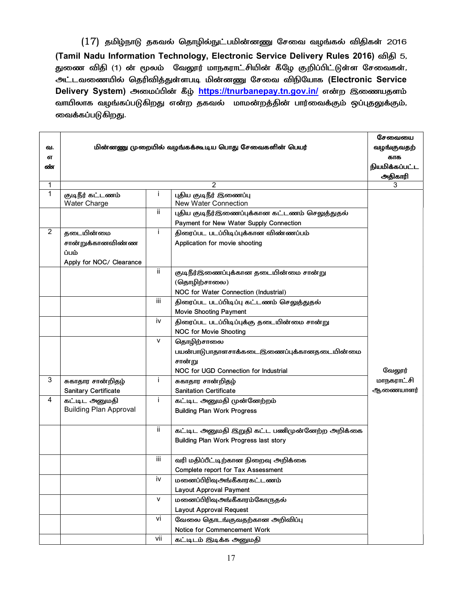$(17)$  தமிழ்நாடு தகவல் தொழில்நுட்பமின்னணு சேவை வழங்கல் விதிகள் 2016 (Tamil Nadu Information Technology, Electronic Service Delivery Rules 2016) விதி 5, துணை விதி (1) ன் மூலம் வேலூர் மாநகராட்சியின் கீழே குறிப்பிட்டுள்ள சேவைகள், அட்டவணையில் தெரிவித்துள்ளபடி மின்னணு சேவை விநியோக (Electronic Service Delivery System) அமைப்பின் கீழ் https://tnurbanepay.tn.gov.in/ என்ற இணையதளம் வாயிலாக வழங்கப்படுகிறது என்ற தகவல் மாமன்றத்தின் பார்வைக்கும் ஒப்புதலுக்கும், வைக்கப்படுகிறது.

| ഖ.             | மின்னணு முறையில் வழங்கக்கூடிய பொது சேவைகளின் பெயர் |              |                                                | சேவையை<br>வழங்குவதற் |
|----------------|----------------------------------------------------|--------------|------------------------------------------------|----------------------|
| எ              |                                                    |              |                                                | காக                  |
| oσότ           |                                                    |              |                                                | நியமிக்கப்பட்ட       |
|                |                                                    |              |                                                | அதிகாரி              |
| 1              |                                                    |              | 2                                              | 3                    |
| 1              | குடிநீர் கட்டணம்<br><b>Water Charge</b>            | Ť.           | புதிய குடிநீர் இணைப்பு<br>New Water Connection |                      |
|                |                                                    | ii.          | புதிய குடிநீர்இணைப்புக்கான கட்டணம் செலுத்துதல் |                      |
|                |                                                    |              | Payment for New Water Supply Connection        |                      |
| $\overline{2}$ | தடையின்மை                                          | i.           | திரைப்பட படப்பிடிப்புக்கான விண்ணப்பம்          |                      |
|                | சான்றுக்கானவிண்ண                                   |              | Application for movie shooting                 |                      |
|                | ப்பம்                                              |              |                                                |                      |
|                | Apply for NOC/ Clearance                           |              |                                                |                      |
|                |                                                    | ij.          | குடிநீர்இணைப்புக்கான தடையின்மை சான்று          |                      |
|                |                                                    |              | (தொழிற்சாலை)                                   |                      |
|                |                                                    |              | NOC for Water Connection (Industrial)          |                      |
|                |                                                    | iii          | திரைப்பட படப்பிடிப்பு கட்டணம் செலுத்துதல்      |                      |
|                |                                                    |              | <b>Movie Shooting Payment</b>                  |                      |
|                |                                                    | iv           | திரைப்பட படப்பிடிப்புக்கு தடையின்மை சான்று     |                      |
|                |                                                    |              | NOC for Movie Shooting                         |                      |
|                |                                                    | $\mathsf{v}$ | தொழிற்சாலை                                     |                      |
|                |                                                    |              | பயன்பாடுபாதாளசாக்கடைஇணைப்புக்கானதடையின்மை      |                      |
|                |                                                    |              | சான்று                                         |                      |
|                |                                                    |              | NOC for UGD Connection for Industrial          | வேலூர்               |
| 3              | சுகாதார சான்றிதழ்                                  | Ť            | சுகாதார சான்றிதழ்                              | மாநகராட்சி           |
|                | Sanitary Certificate                               |              | <b>Sanitation Certificate</b>                  | ஆணையாளர்             |
| 4              | கட்டிட அனுமதி                                      | i.           | கட்டிட அனுமதி முன்னேற்றம்                      |                      |
|                | <b>Building Plan Approval</b>                      |              | <b>Building Plan Work Progress</b>             |                      |
|                |                                                    |              |                                                |                      |
|                |                                                    | ij.          | கட்டிட அனுமதி இறுதி கட்ட பணிமுன்னேற்ற அறிக்கை  |                      |
|                |                                                    |              | Building Plan Work Progress last story         |                      |
|                |                                                    |              |                                                |                      |
|                |                                                    | iii          | வரி மதிப்பீட்டிற்கான நிறைவு அறிக்கை            |                      |
|                |                                                    |              | Complete report for Tax Assessment             |                      |
|                |                                                    | iv           | மனைப்பிரிவு அங்கீகாரகட்டணம்                    |                      |
|                |                                                    |              | Layout Approval Payment                        |                      |
|                |                                                    | V            | மனைப்பிரிவு அங்கீகாரம்கோருதல்                  |                      |
|                |                                                    |              | Layout Approval Request                        |                      |
|                |                                                    | vi           | வேலை தொடங்குவதற்கான அறிவிப்பு                  |                      |
|                |                                                    |              | Notice for Commencement Work                   |                      |
|                |                                                    | vii          | கட்டிடம் இடிக்க அனுமதி                         |                      |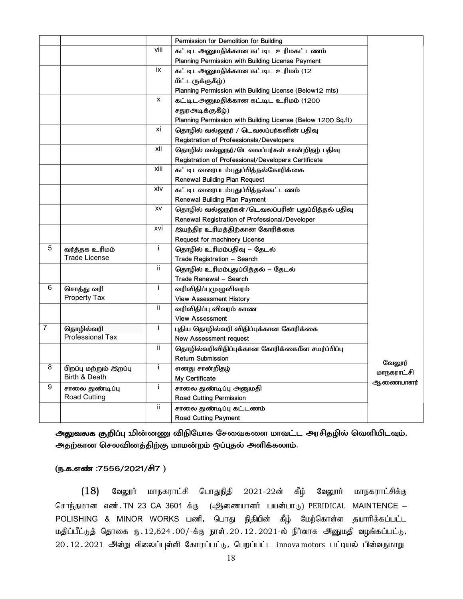|   |                        |      | Permission for Demolition for Building                       |                      |
|---|------------------------|------|--------------------------------------------------------------|----------------------|
|   |                        | viii | கட்டிடஅனுமதிக்கான கட்டிட உரிமகட்டணம்                         |                      |
|   |                        |      | Planning Permission with Building License Payment            |                      |
|   |                        | ix   | கட்டிடஅனுமதிக்கான கட்டிட உரிமம் (12                          |                      |
|   |                        |      | மீட்டருக்குகீழ்)                                             |                      |
|   |                        |      | Planning Permission with Building License (Below12 mts)      |                      |
|   |                        | x    | கட்டிடஅனுமதிக்கான கட்டிட உரிமம் (1200                        |                      |
|   |                        |      | சதுரஅடிக்குகீழ்)                                             |                      |
|   |                        |      | Planning Permission with Building License (Below 1200 Sq.ft) |                      |
|   |                        | xi   | தொழில் வல்லுநர் / டெவலப்பர்களின் பதிவு                       |                      |
|   |                        |      | Registration of Professionals/Developers                     |                      |
|   |                        | xii  | தொழில் வல்லுநர்/டெவலப்பர்கள் சான்றிதழ் பதிவு                 |                      |
|   |                        |      | Registration of Professional/Developers Certificate          |                      |
|   |                        | xiii | கட்டிடவரைபடம்புதுப்பித்தல்கோரிக்கை                           |                      |
|   |                        |      | <b>Renewal Building Plan Request</b>                         |                      |
|   |                        | xiv  | கட்டிடவரைபடம்புதுப்பித்தல்கட்டணம்                            |                      |
|   |                        |      | Renewal Building Plan Payment                                |                      |
|   |                        | XV   | தொழில் வல்லுநர்கள்/டெவலப்பரின் புதுப்பித்தல் பதிவு           |                      |
|   |                        |      | Renewal Registration of Professional/Developer               |                      |
|   |                        | xvi  | இயந்திர உரிமத்திற்கான கோரிக்கை                               |                      |
|   |                        |      | Request for machinery License                                |                      |
| 5 | வர்த்தக உரிமம்         | Ť    | தொழில் உரிமம்பதிவு – தேடல்                                   |                      |
|   | <b>Trade License</b>   |      | Trade Registration - Search                                  |                      |
|   |                        | ij.  | தொழில் உரிமம்புதுப்பித்தல் – தேடல்                           |                      |
|   |                        |      | Trade Renewal - Search                                       |                      |
| 6 | சொத்து வரி             | Ť    | வரிவிதிப்புமுழுவிவரம்                                        |                      |
|   | <b>Property Tax</b>    |      | <b>View Assessment History</b>                               |                      |
|   |                        | ij.  | வரிவிதிப்பு விவரம் காண                                       |                      |
|   |                        |      | <b>View Assessment</b>                                       |                      |
| 7 | தொழில்வரி              | j.   | புதிய தொழில்வரி விதிப்புக்கான கோரிக்கை                       |                      |
|   | Professional Tax       |      | <b>New Assessment request</b>                                |                      |
|   |                        | ij.  | தொழில்வரிவிதிப்புக்கான கோரிக்கைமீள சமர்ப்பிப்பு              |                      |
|   |                        |      | <b>Return Submission</b>                                     |                      |
| 8 | பிறப்பு மற்றும் இறப்பு | Ť    | எனது சான்றிதழ்                                               | வேலூர்<br>மாநகராட்சி |
|   | Birth & Death          |      | My Certificate                                               | ஆணையாளர்             |
| 9 | சாலை துண்டிப்பு        | Ť    | சாலை துண்டிப்பு அனுமதி                                       |                      |
|   | <b>Road Cutting</b>    |      | Road Cutting Permission                                      |                      |
|   |                        | ij.  | சாலை துண்டிப்பு கட்டணம்                                      |                      |
|   |                        |      | <b>Road Cutting Payment</b>                                  |                      |

அலுவலக குறிப்பு :மின்னணு விநியோக சேவைகளை மாவட்ட அரசிதழில் வெளியிடவும், அதற்கான செலவினத்திற்கு மாமன்றம் ஒப்புதல் அளிக்கலாம்.

#### (ந.க.எண் :7556/2021/சி7)

 $(18)$  கேலூர் மாநகராட்சி பொதுநிதி 2021-22ன் கீழ் வேலூர் மாநகராட்சிக்கு சொந்தமான எண்.TN 23 CA 3601 க்கு (ஆணையாளர் பயன்பாடு) PERIDICAL MAINTENCE – POLISHING & MINOR WORKS பணி, பொது நிதியின் கீழ் மேற்கொள்ள தயாரிக்கப்பட்ட  $\mu$ திப்பீட்டுத் தொகை ரு. 12,624.00/-க்கு நாள். 20. 12. 2021-ல் நிர்வாக அனுமதி வழங்கப்பட்டு,  $20.12.2021$  அன்று விலைப்புள்ளி கோரப்பட்டு, பெறப்பட்ட innova motors பட்டியல் பின்வருமாறு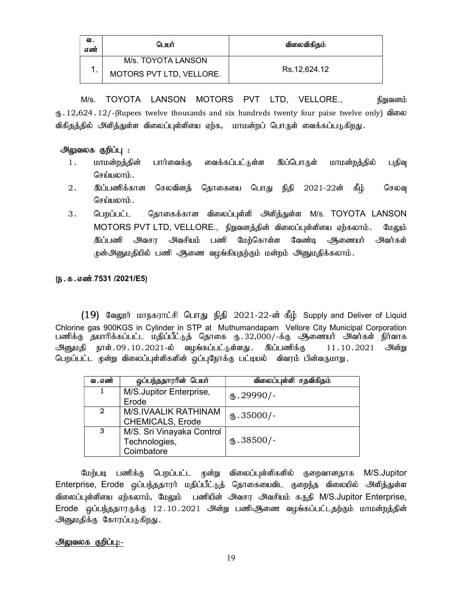| ഖ.<br>எண் | பொர்                     | விலைவிகிதம்  |
|-----------|--------------------------|--------------|
|           | M/s. TOYOTA LANSON       |              |
|           | MOTORS PVT LTD, VELLORE. | Rs.12,624.12 |

M/s. TOYOTA LANSON MOTORS PVT LTD, VELLORE., நிறுவனம்  $_{(b)}$ .12,624.12/-(Rupees twelve thousands and six hundreds twenty four paise twelve only) விலை விகிதத்தில் அளித்துள்ள விலைப்புள்ளியை ஏற்க, மாமன்றப் பொருள் வைக்கப்படுகிறது.

## அலுவலக குறிப்பு :

- 1. மாமன்றத்தின் பார்வைக்கு வைக்கப்பட்டுள்ள இப்பொருள் மாமன்றத்தில் பதிவு செய்யலாம்.
- 2. இப்பணிக்கான செலவினத் தொகையை பொது நிதி 2021-22ன் கீழ் செலவு செய்யலாம்.
- 3. பெறப்பட்ட தொகைக்கான விலைப்புள்ளி அளித்துள்ள M/s. TOYOTA LANSON MOTORS PVT LTD, VELLORE., நிறுவனத்தின் விலைப்புள்ளியை ஏற்கலாம். மேலும் இப்பணி அவசா அவசியம் பணி மேற்கொள்ள வேண்டி அணையர் அவர்கள் ருன்அனுமதியில் பணி ஆணை வழங்கியதற்கும் மன்றம் அனுமதிக்கலாம்.

## (ந.க.எண்.7531 /2021/E5)

 $(19)$  வேலூர் மாநகராட்சி பொது நிதி 2021-22-ன் கீழ் Supply and Deliver of Liquid Chlorine gas 900KGS in Cylinder in STP at Muthumandapam Vellore City Municipal Corporation பணிக்கு தயாரிக்கப்பட்ட மதிப்பீட்டுத் தொகை ரு.32,000/-க்கு ஆணையர் அவர்கள் நிர்வாக  $\partial M$ ளுமதி நாள் $.09.10.2021$ -ல் வழங்கப்பட்டுள்ளது. இப்பணிக்கு  $11.10.2021$   $\partial M$ ன்று பெறப்பட்ட முன்று விலைப்புள்ளிகளின் ஒப்புநோக்கு பட்டியல் விவரம் பின்வருமாறு.

| வ . எண்      | ஒப்பந்ததாரரின் பெயர்      | விலைப்புள்ளி சதவிகிதம் |
|--------------|---------------------------|------------------------|
|              | M/S.Jupitor Enterprise,   | $(b.29990/-$           |
|              | Erode                     |                        |
| $\mathbf{2}$ | M/S.IVAALIK RATHINAM      | $(b.35000/-$           |
|              | <b>CHEMICALS, Erode</b>   |                        |
| 3            | M/S. Sri Vinayaka Control |                        |
|              | Technologies,             | $\Phi$ .38500/-        |
|              | Coimbatore                |                        |

மேற்படி பணிக்கு பெறப்பட்ட முன்று விலைப்புள்ளிகளில் குறைவானதாக M/S.Jupitor Enterprise, Erode ஒப்பந்ததாரர் மதிப்பீட்டுத் தொகையைவிட குறைந்த விலையில் அளித்துள்ள விலைப்புள்ளியை ஏற்கலாம், மேலும் பணியின் அவசர அவசியம் கருதி M/S.Jupitor Enterprise, Erode ஒப்பந்ததாரருக்கு 12.10.2021 அன்று பணிஆணை வழங்கப்பட்டதற்கும் மாமன்றத்தின் அனுமதிக்கு கோரப்படுகிறது.

## அலுவலக குறிப்பு:-